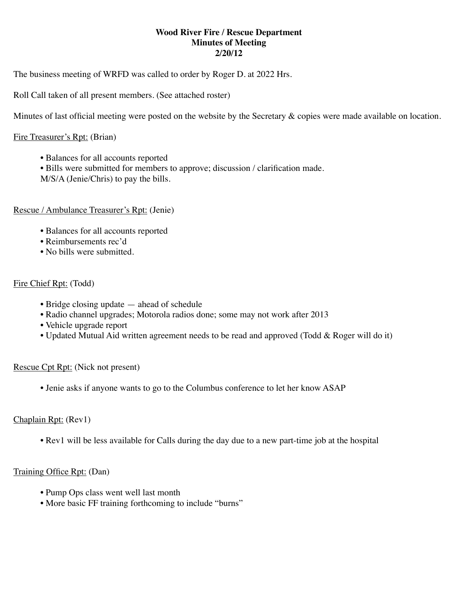### **Wood River Fire / Rescue Department Minutes of Meeting 2/20/12**

The business meeting of WRFD was called to order by Roger D. at 2022 Hrs.

Roll Call taken of all present members. (See attached roster)

Minutes of last official meeting were posted on the website by the Secretary & copies were made available on location.

#### Fire Treasurer's Rpt: (Brian)

- Balances for all accounts reported
- Bills were submitted for members to approve; discussion / clarification made.
- M/S/A (Jenie/Chris) to pay the bills.

#### Rescue / Ambulance Treasurer's Rpt: (Jenie)

- Balances for all accounts reported
- Reimbursements rec'd
- No bills were submitted.

### Fire Chief Rpt: (Todd)

- Bridge closing update ahead of schedule
- Radio channel upgrades; Motorola radios done; some may not work after 2013
- Vehicle upgrade report
- Updated Mutual Aid written agreement needs to be read and approved (Todd & Roger will do it)

#### Rescue Cpt Rpt: (Nick not present)

• Jenie asks if anyone wants to go to the Columbus conference to let her know ASAP

### Chaplain Rpt: (Rev1)

• Rev1 will be less available for Calls during the day due to a new part-time job at the hospital

# Training Office Rpt: (Dan)

- Pump Ops class went well last month
- More basic FF training forthcoming to include "burns"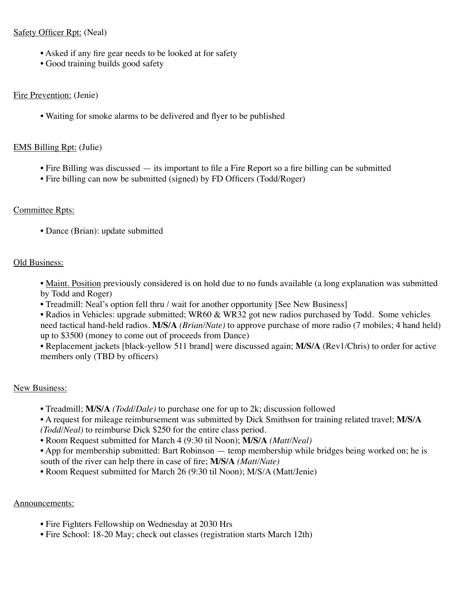## Safety Officer Rpt: (Neal)

- Asked if any fire gear needs to be looked at for safety
- Good training builds good safety

## Fire Prevention: (Jenie)

• Waiting for smoke alarms to be delivered and flyer to be published

# EMS Billing Rpt: (Julie)

- Fire Billing was discussed its important to file a Fire Report so a fire billing can be submitted
- Fire billing can now be submitted (signed) by FD Officers (Todd/Roger)

# Committee Rpts:

• Dance (Brian): update submitted

# Old Business:

• Maint. Position previously considered is on hold due to no funds available (a long explanation was submitted by Todd and Roger)

- Treadmill: Neal's option fell thru / wait for another opportunity [See New Business]
- Radios in Vehicles: upgrade submitted; WR60 & WR32 got new radios purchased by Todd. Some vehicles need tactical hand-held radios. **M/S/A** *(Brian/Nate)* to approve purchase of more radio (7 mobiles; 4 hand held) up to \$3500 (money to come out of proceeds from Dance)

• Replacement jackets [black-yellow 511 brand] were discussed again; **M/S/A** (Rev1/Chris) to order for active members only (TBD by officers)

# New Business:

- Treadmill; **M/S/A** *(Todd/Dale)* to purchase one for up to 2k; discussion followed
- A request for mileage reimbursement was submitted by Dick Smithson for training related travel; **M/S/A** *(Todd/Neal)* to reimburse Dick \$250 for the entire class period.
- Room Request submitted for March 4 (9:30 til Noon); **M/S/A** *(Matt/Neal)*
- App for membership submitted: Bart Robinson temp membership while bridges being worked on; he is south of the river can help there in case of fire; **M/S/A** *(Matt/Nate)*
- Room Request submitted for March 26 (9:30 til Noon); M/S/A (Matt/Jenie)

# Announcements:

- Fire Fighters Fellowship on Wednesday at 2030 Hrs
- Fire School: 18-20 May; check out classes (registration starts March 12th)